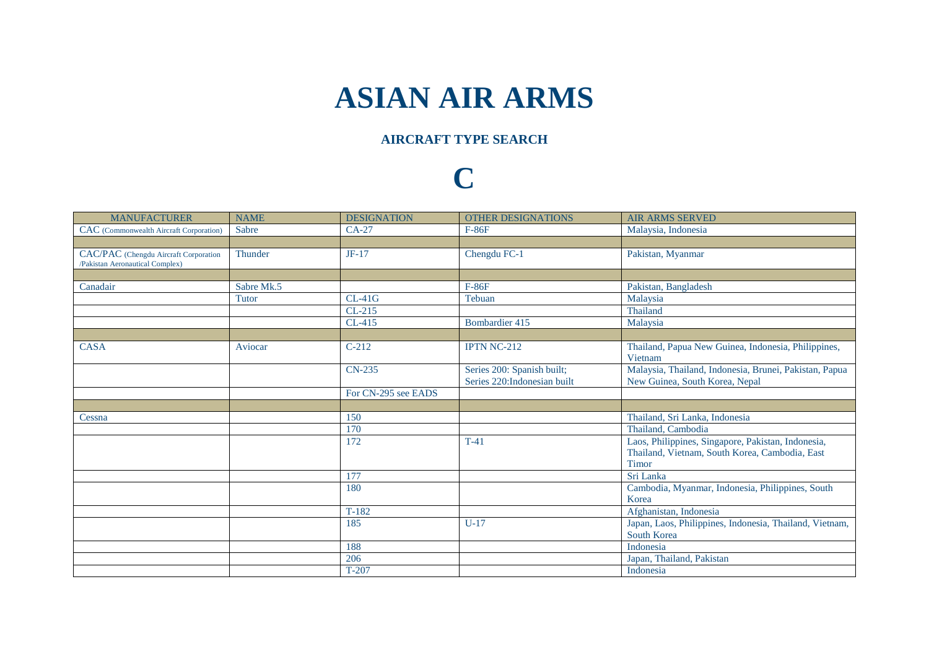## **ASIAN AIR ARMS**

## **AIRCRAFT TYPE SEARCH**

## **C**

| <b>MANUFACTURER</b>                                                      | <b>NAME</b>  | <b>DESIGNATION</b>  | <b>OTHER DESIGNATIONS</b>                                  | <b>AIR ARMS SERVED</b>                                                                                               |
|--------------------------------------------------------------------------|--------------|---------------------|------------------------------------------------------------|----------------------------------------------------------------------------------------------------------------------|
| CAC (Commonwealth Aircraft Corporation)                                  | Sabre        | $CA-27$             | $F-86F$                                                    | Malaysia, Indonesia                                                                                                  |
|                                                                          |              |                     |                                                            |                                                                                                                      |
| CAC/PAC (Chengdu Aircraft Corporation<br>/Pakistan Aeronautical Complex) | Thunder      | $JF-17$             | Chengdu FC-1                                               | Pakistan, Myanmar                                                                                                    |
|                                                                          |              |                     |                                                            |                                                                                                                      |
| Canadair                                                                 | Sabre Mk.5   |                     | $F-86F$                                                    | Pakistan, Bangladesh                                                                                                 |
|                                                                          | <b>Tutor</b> | $CL-41G$            | Tebuan                                                     | Malaysia                                                                                                             |
|                                                                          |              | $CL-215$            |                                                            | Thailand                                                                                                             |
|                                                                          |              | CL-415              | Bombardier 415                                             | Malaysia                                                                                                             |
|                                                                          |              |                     |                                                            |                                                                                                                      |
| <b>CASA</b>                                                              | Aviocar      | $C-212$             | <b>IPTN NC-212</b>                                         | Thailand, Papua New Guinea, Indonesia, Philippines,<br>Vietnam                                                       |
|                                                                          |              | CN-235              | Series 200: Spanish built;<br>Series 220: Indonesian built | Malaysia, Thailand, Indonesia, Brunei, Pakistan, Papua<br>New Guinea, South Korea, Nepal                             |
|                                                                          |              | For CN-295 see EADS |                                                            |                                                                                                                      |
|                                                                          |              |                     |                                                            |                                                                                                                      |
| Cessna                                                                   |              | 150                 |                                                            | Thailand, Sri Lanka, Indonesia                                                                                       |
|                                                                          |              | 170                 |                                                            | Thailand, Cambodia                                                                                                   |
|                                                                          |              | 172                 | $T-41$                                                     | Laos, Philippines, Singapore, Pakistan, Indonesia,<br>Thailand, Vietnam, South Korea, Cambodia, East<br><b>Timor</b> |
|                                                                          |              | 177                 |                                                            | Sri Lanka                                                                                                            |
|                                                                          |              | 180                 |                                                            | Cambodia, Myanmar, Indonesia, Philippines, South<br>Korea                                                            |
|                                                                          |              | $T-182$             |                                                            | Afghanistan, Indonesia                                                                                               |
|                                                                          |              | 185                 | $U-17$                                                     | Japan, Laos, Philippines, Indonesia, Thailand, Vietnam,<br>South Korea                                               |
|                                                                          |              | 188                 |                                                            | Indonesia                                                                                                            |
|                                                                          |              | 206                 |                                                            | Japan, Thailand, Pakistan                                                                                            |
|                                                                          |              | $T-207$             |                                                            | Indonesia                                                                                                            |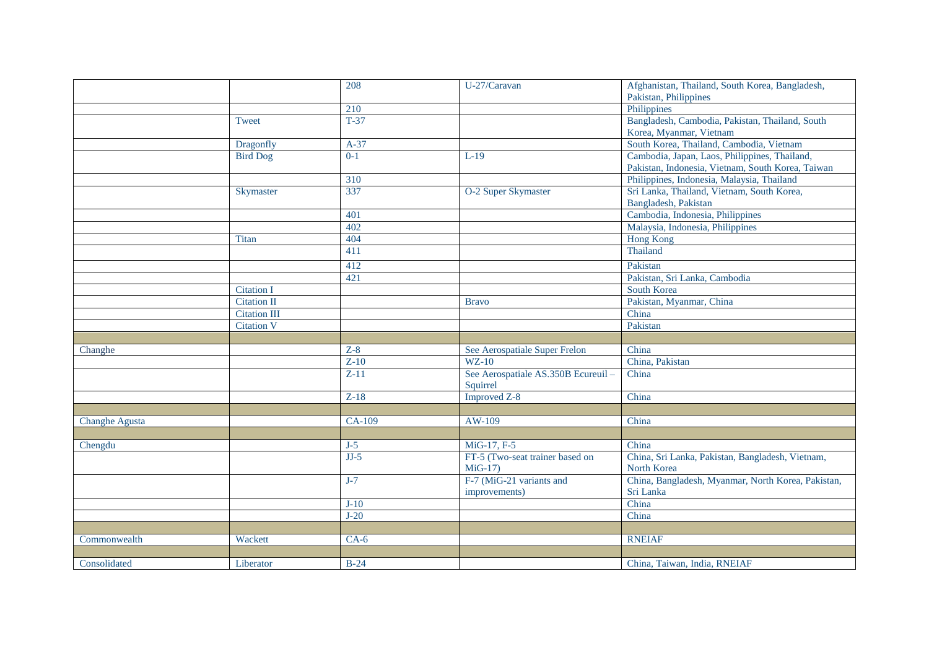|                       |                     | 208    | U-27/Caravan                       | Afghanistan, Thailand, South Korea, Bangladesh,    |
|-----------------------|---------------------|--------|------------------------------------|----------------------------------------------------|
|                       |                     |        |                                    | Pakistan, Philippines                              |
|                       |                     | 210    |                                    | Philippines                                        |
|                       | Tweet               | $T-37$ |                                    | Bangladesh, Cambodia, Pakistan, Thailand, South    |
|                       |                     |        |                                    | Korea, Myanmar, Vietnam                            |
|                       | Dragonfly           | $A-37$ |                                    | South Korea, Thailand, Cambodia, Vietnam           |
|                       | <b>Bird Dog</b>     | $0-1$  | $L-19$                             | Cambodia, Japan, Laos, Philippines, Thailand,      |
|                       |                     |        |                                    | Pakistan, Indonesia, Vietnam, South Korea, Taiwan  |
|                       |                     | 310    |                                    | Philippines, Indonesia, Malaysia, Thailand         |
|                       | Skymaster           | 337    | O-2 Super Skymaster                | Sri Lanka, Thailand, Vietnam, South Korea,         |
|                       |                     |        |                                    | Bangladesh, Pakistan                               |
|                       |                     | 401    |                                    | Cambodia, Indonesia, Philippines                   |
|                       |                     | 402    |                                    | Malaysia, Indonesia, Philippines                   |
|                       | <b>Titan</b>        | 404    |                                    | <b>Hong Kong</b>                                   |
|                       |                     | 411    |                                    | Thailand                                           |
|                       |                     | 412    |                                    | Pakistan                                           |
|                       |                     | 421    |                                    | Pakistan, Sri Lanka, Cambodia                      |
|                       | <b>Citation I</b>   |        |                                    | <b>South Korea</b>                                 |
|                       | <b>Citation II</b>  |        | <b>Bravo</b>                       | Pakistan, Myanmar, China                           |
|                       | <b>Citation III</b> |        |                                    | China                                              |
|                       | <b>Citation V</b>   |        |                                    | Pakistan                                           |
|                       |                     |        |                                    |                                                    |
| Changhe               |                     | $Z-8$  | See Aerospatiale Super Frelon      | China                                              |
|                       |                     | $Z-10$ | $WZ-10$                            | China, Pakistan                                    |
|                       |                     | $Z-11$ | See Aerospatiale AS.350B Ecureuil- | China                                              |
|                       |                     |        | Squirrel                           |                                                    |
|                       |                     | $Z-18$ | <b>Improved Z-8</b>                | China                                              |
|                       |                     |        |                                    |                                                    |
| <b>Changhe Agusta</b> |                     | CA-109 | AW-109                             | China                                              |
|                       |                     |        |                                    |                                                    |
| Chengdu               |                     | $J-5$  | MiG-17, F-5                        | China                                              |
|                       |                     | $JJ-5$ | FT-5 (Two-seat trainer based on    | China, Sri Lanka, Pakistan, Bangladesh, Vietnam,   |
|                       |                     |        | $MiG-17$                           | North Korea                                        |
|                       |                     | $J-7$  | F-7 (MiG-21 variants and           | China, Bangladesh, Myanmar, North Korea, Pakistan, |
|                       |                     |        | improvements)                      | Sri Lanka                                          |
|                       |                     | $J-10$ |                                    | China                                              |
|                       |                     | $J-20$ |                                    | China                                              |
|                       |                     |        |                                    |                                                    |
| Commonwealth          | Wackett             | $CA-6$ |                                    | <b>RNEIAF</b>                                      |
|                       |                     |        |                                    |                                                    |
| Consolidated          | Liberator           | $B-24$ |                                    | China, Taiwan, India, RNEIAF                       |